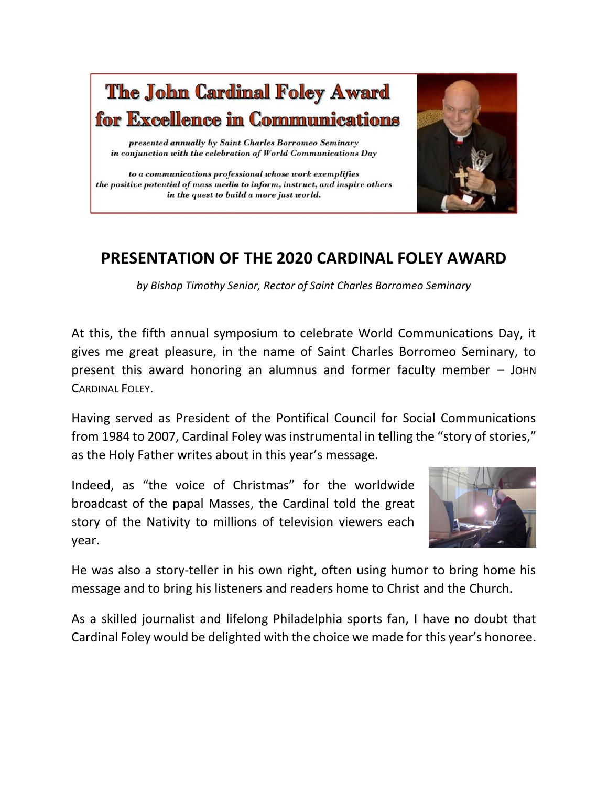

## **PRESENTATION OF THE 2020 CARDINAL FOLEY AWARD**

*by Bishop Timothy Senior, Rector of Saint Charles Borromeo Seminary*

At this, the fifth annual symposium to celebrate World Communications Day, it gives me great pleasure, in the name of Saint Charles Borromeo Seminary, to present this award honoring an alumnus and former faculty member – JOHN CARDINAL FOLEY.

Having served as President of the Pontifical Council for Social Communications from 1984 to 2007, Cardinal Foley was instrumental in telling the "story of stories," as the Holy Father writes about in this year's message.

Indeed, as "the voice of Christmas" for the worldwide broadcast of the papal Masses, the Cardinal told the great story of the Nativity to millions of television viewers each year.



He was also a story-teller in his own right, often using humor to bring home his message and to bring his listeners and readers home to Christ and the Church.

As a skilled journalist and lifelong Philadelphia sports fan, I have no doubt that Cardinal Foley would be delighted with the choice we made for this year's honoree.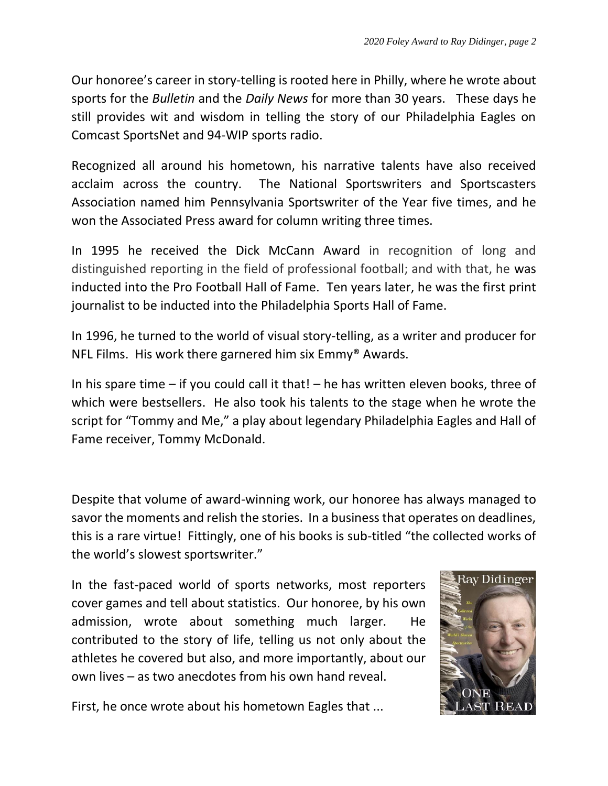Our honoree's career in story-telling is rooted here in Philly, where he wrote about sports for the *Bulletin* and the *Daily News* for more than 30 years. These days he still provides wit and wisdom in telling the story of our Philadelphia Eagles on Comcast SportsNet and 94-WIP sports radio.

Recognized all around his hometown, his narrative talents have also received acclaim across the country. The National Sportswriters and Sportscasters Association named him Pennsylvania Sportswriter of the Year five times, and he won the Associated Press award for column writing three times.

In 1995 he received the Dick McCann Award in recognition of long and distinguished reporting in the field of professional football; and with that, he was inducted into the Pro Football Hall of Fame. Ten years later, he was the first print journalist to be inducted into the Philadelphia Sports Hall of Fame.

In 1996, he turned to the world of visual story-telling, as a writer and producer for NFL Films. His work there garnered him six Emmy® Awards.

In his spare time – if you could call it that! – he has written eleven books, three of which were bestsellers. He also took his talents to the stage when he wrote the script for "Tommy and Me," a play about legendary Philadelphia Eagles and Hall of Fame receiver, Tommy McDonald.

Despite that volume of award-winning work, our honoree has always managed to savor the moments and relish the stories. In a business that operates on deadlines, this is a rare virtue! Fittingly, one of his books is sub-titled "the collected works of the world's slowest sportswriter."

In the fast-paced world of sports networks, most reporters cover games and tell about statistics. Our honoree, by his own admission, wrote about something much larger. He contributed to the story of life, telling us not only about the athletes he covered but also, and more importantly, about our own lives – as two anecdotes from his own hand reveal.



First, he once wrote about his hometown Eagles that ...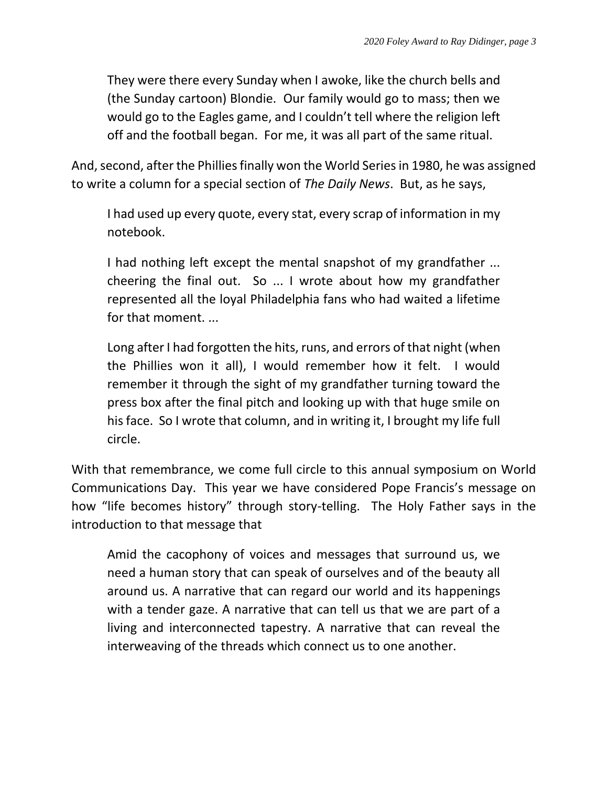They were there every Sunday when I awoke, like the church bells and (the Sunday cartoon) Blondie. Our family would go to mass; then we would go to the Eagles game, and I couldn't tell where the religion left off and the football began. For me, it was all part of the same ritual.

And, second, after the Phillies finally won the World Series in 1980, he was assigned to write a column for a special section of *The Daily News*. But, as he says,

I had used up every quote, every stat, every scrap of information in my notebook.

I had nothing left except the mental snapshot of my grandfather ... cheering the final out. So ... I wrote about how my grandfather represented all the loyal Philadelphia fans who had waited a lifetime for that moment. ...

Long after I had forgotten the hits, runs, and errors of that night (when the Phillies won it all), I would remember how it felt. I would remember it through the sight of my grandfather turning toward the press box after the final pitch and looking up with that huge smile on his face. So I wrote that column, and in writing it, I brought my life full circle.

With that remembrance, we come full circle to this annual symposium on World Communications Day. This year we have considered Pope Francis's message on how "life becomes history" through story-telling. The Holy Father says in the introduction to that message that

Amid the cacophony of voices and messages that surround us, we need a human story that can speak of ourselves and of the beauty all around us. A narrative that can regard our world and its happenings with a tender gaze. A narrative that can tell us that we are part of a living and interconnected tapestry. A narrative that can reveal the interweaving of the threads which connect us to one another.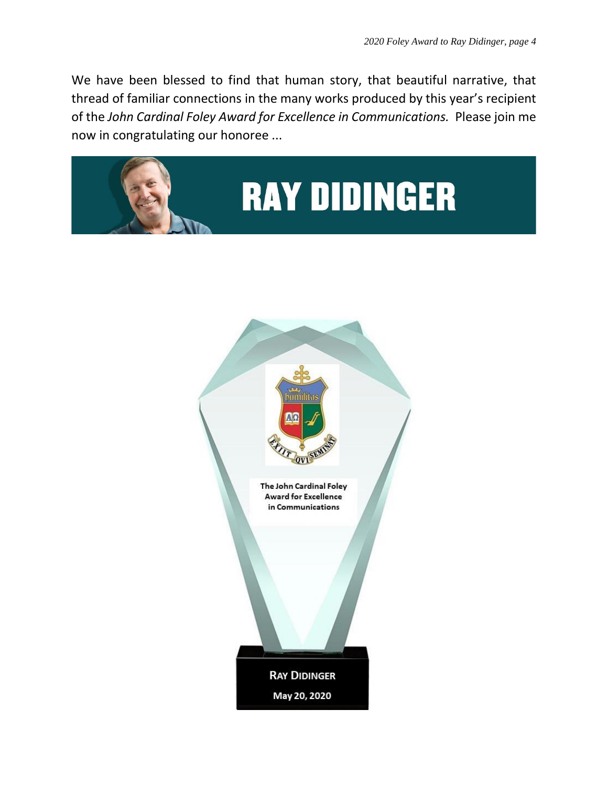We have been blessed to find that human story, that beautiful narrative, that thread of familiar connections in the many works produced by this year's recipient of the *John Cardinal Foley Award for Excellence in Communications.* Please join me now in congratulating our honoree ...